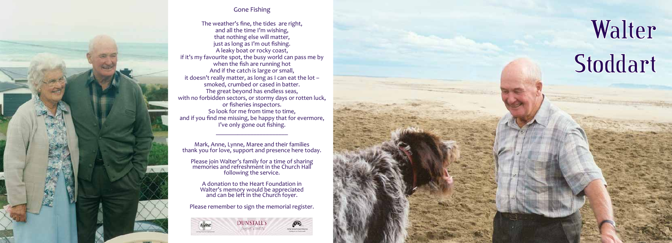# Walter Stoddart



Mark, Anne, Lynne, Maree and their families thank you for love, support and presence here today.

 $\frac{1}{2}$  ,  $\frac{1}{2}$  ,  $\frac{1}{2}$  ,  $\frac{1}{2}$  ,  $\frac{1}{2}$  ,  $\frac{1}{2}$  ,  $\frac{1}{2}$  ,  $\frac{1}{2}$  ,  $\frac{1}{2}$  ,  $\frac{1}{2}$ 

Please join Walter's family for a time of sharing memories and refreshment in the Church Hall following the service.

A donation to the Heart Foundation in Walter's memory would be appreciated and can be left in the Church foyer.

Please remember to sign the memorial register.





#### Gone Fishing

The weather's fine, the tides are right, and all the time I'm wishing, that nothing else will matter, just as long as I'm out fishing. A leaky boat or rocky coast, if it's my favourite spot, the busy world can pass me by when the fish are running hot And if the catch is large or small, it doesn't really matter, as long as I can eat the lot – smoked, crumbed or cased in batter. The great beyond has endless seas, with no forbidden sectors, or stormy days or rotten luck, or fisheries inspectors. So look for me from time to time, and if you find me missing, be happy that for evermore, I've only gone out fishing.